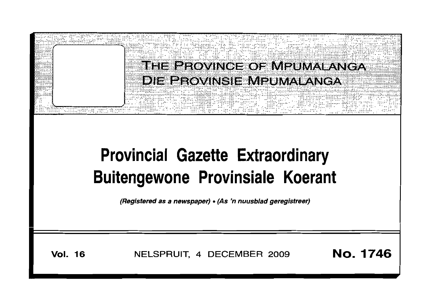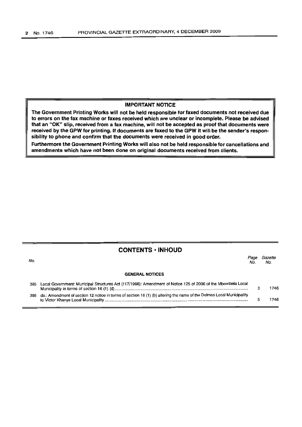#### **IMPORTANT NOTICE**

**The Government Printing Works will not be held responsible for faxed documents not received due to errors on the fax machine or faxes received which are unclear or incomplete. Please be advised that an** "OK" **slip, received from a fax machine, will not be accepted as proof that documents were received by the GPW for printing. If documents are faxed to the GPW it will be the sender's responsibility to phone and confirm that the documents were received in good order.**

**Furthermore the Government Printing Works will also not be held responsible for cancellations and amendments which have not been done on original documents received from clients.**

### **CONTENTS • INHOUD**

| No. |                                                                                                                       | Nο | Gazette<br>No. |
|-----|-----------------------------------------------------------------------------------------------------------------------|----|----------------|
|     | <b>GENERAL NOTICES</b>                                                                                                |    |                |
|     | 385 Local Government: Municipal Structures Act (117/1998): Amendment of Notice 125 of 2006 of the Mbombela Local      |    | 1746           |
| 386 | do.: Amendment of section 12 notice in terms of section 16 (1) (b) altering the name of the Delmas Local Municipality |    | 746            |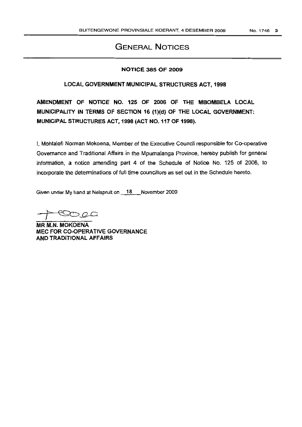# GENERAL NOTICES

#### NOTICE 385 OF 2009

#### LOCAL GOVERNMENT MUNICIPAL STRUCTURES ACT, 1998

AMENDMENT OF NOTICE NO. 125 OF 2006 OF THE MBOMBELA LOCAL . . MUNICIPALITY IN TERMS OF SECTION 16 (1)(d) OF THE LOCAL GOVERNMENT: MUNICIPAL STRUCTURES ACT, 1998 (ACT NO. 117 OF 1998).

I, Mohlalefi Norman Mokoena, Member of the Executive Council responsible for Co-operative Governance and Traditional Affairs in the Mpumalanga Province, hereby publish for general information, a notice amending part 4 of the Schedule of Notice No. 125 of 2006, to incorporate the determinations of fuli time councillors as set out in the Schedule hereto.

Given under My hand at Nelspruit on 18 November 2009

 $-$ 0.00 $-$ 

MR M.N. MOKOENA MEC FOR CO-OPERATIVE GOVERNANCE AND TRADITIONAL AFFAIRS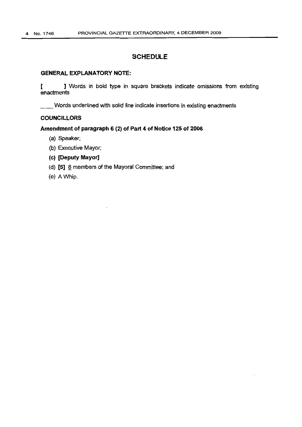# SCHEDULE

#### GENERAL EXPLANATORY NOTE:

[ ] Words in bold type in square brackets indicate omissions from existing enactments

\_\_Words underlined with solid line indicate insertions in existing enactments

#### COUNCILLORS

#### Amendment of paragraph 6 (2) of Part 4 of Notice 125 of 2006

- (a) Speaker;
- (b) Executive Mayor;
- (e) [Deputy Mayor]
- (d)  $[5]$   $\underline{8}$  members of the Mayoral Committee; and
- (e) A Whip.